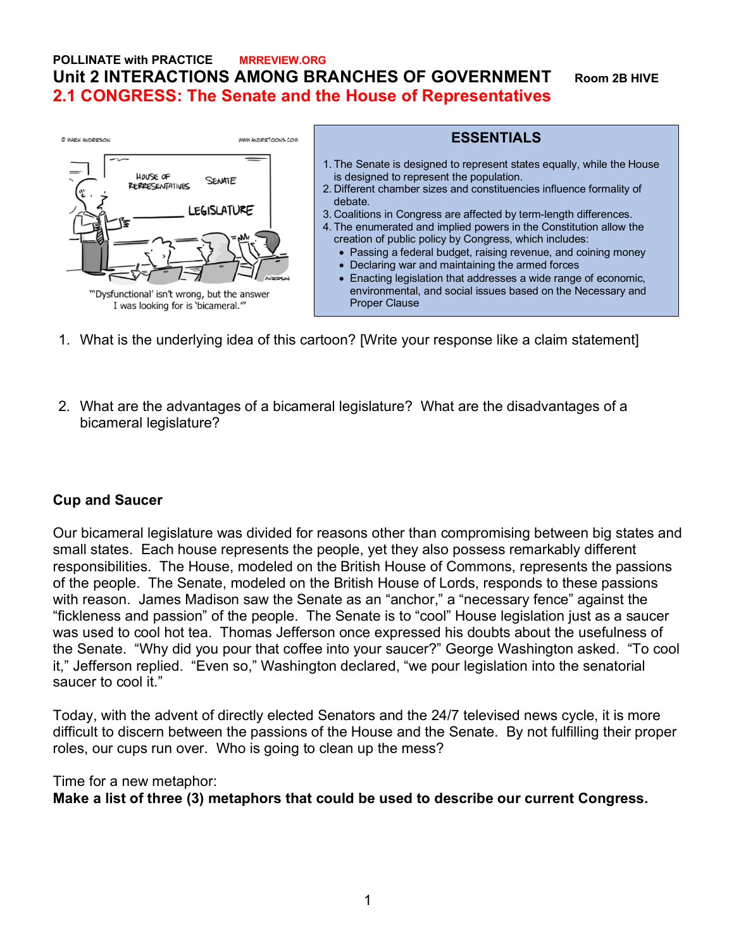## **POLLINATE with PRACTICE MRREVIEW.ORG Unit 2 INTERACTIONS AMONG BRANCHES OF GOVERNMENT Room 2B HIVE 2.1 CONGRESS: The Senate and the House of Representatives**



- 1. What is the underlying idea of this cartoon? [Write your response like a claim statement]
- 2. What are the advantages of a bicameral legislature? What are the disadvantages of a bicameral legislature?

#### **Cup and Saucer**

Our bicameral legislature was divided for reasons other than compromising between big states and small states. Each house represents the people, yet they also possess remarkably different responsibilities. The House, modeled on the British House of Commons, represents the passions of the people. The Senate, modeled on the British House of Lords, responds to these passions with reason. James Madison saw the Senate as an "anchor," a "necessary fence" against the "fickleness and passion" of the people. The Senate is to "cool" House legislation just as a saucer was used to cool hot tea. Thomas Jefferson once expressed his doubts about the usefulness of the Senate. "Why did you pour that coffee into your saucer?" George Washington asked. "To cool it," Jefferson replied. "Even so," Washington declared, "we pour legislation into the senatorial saucer to cool it."

Today, with the advent of directly elected Senators and the 24/7 televised news cycle, it is more difficult to discern between the passions of the House and the Senate. By not fulfilling their proper roles, our cups run over. Who is going to clean up the mess?

#### Time for a new metaphor:

**Make a list of three (3) metaphors that could be used to describe our current Congress.**